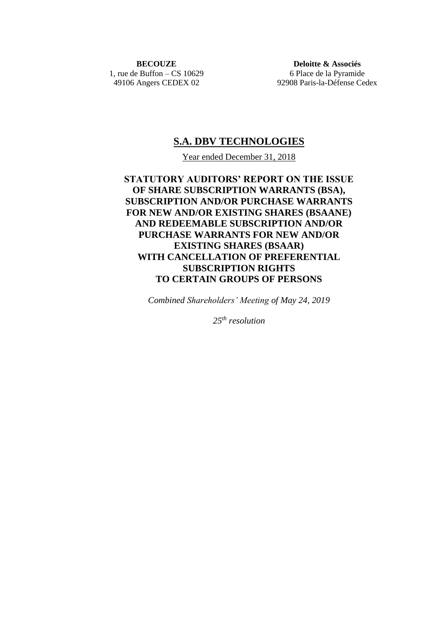**BECOUZE** 1, rue de Buffon – CS 10629 49106 Angers CEDEX 02

**Deloitte & Associés** 6 Place de la Pyramide 92908 Paris-la-Défense Cedex

## **S.A. DBV TECHNOLOGIES**

Year ended December 31, 2018

**STATUTORY AUDITORS' REPORT ON THE ISSUE OF SHARE SUBSCRIPTION WARRANTS (BSA), SUBSCRIPTION AND/OR PURCHASE WARRANTS FOR NEW AND/OR EXISTING SHARES (BSAANE) AND REDEEMABLE SUBSCRIPTION AND/OR PURCHASE WARRANTS FOR NEW AND/OR EXISTING SHARES (BSAAR) WITH CANCELLATION OF PREFERENTIAL SUBSCRIPTION RIGHTS TO CERTAIN GROUPS OF PERSONS**

*Combined Shareholders' Meeting of May 24, 2019*

*25 th resolution*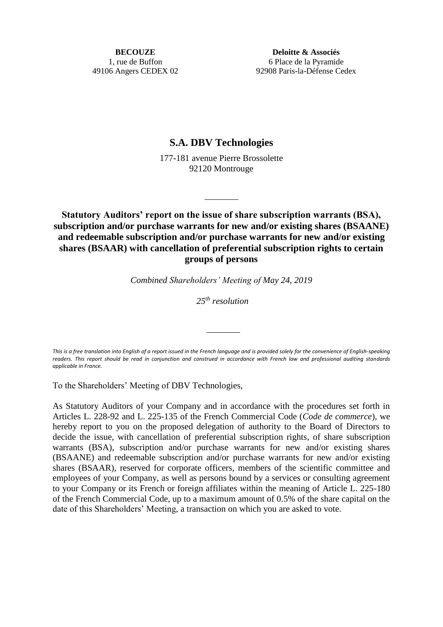**BECOUZE** 1, rue de Buffon 49106 Angers CEDEX 02

**Deloitte & Associés** 6 Place de la Pyramide 92908 Paris-la-Défense Cedex

## **S.A. DBV Technologies**

177-181 avenue Pierre Brossolette 92120 Montrouge

**Statutory Auditors' report on the issue of share subscription warrants (BSA), subscription and/or purchase warrants for new and/or existing shares (BSAANE) and redeemable subscription and/or purchase warrants for new and/or existing shares (BSAAR) with cancellation of preferential subscription rights to certain groups of persons**

*Combined Shareholders' Meeting of May 24, 2019*

*25 th resolution*

*This is a free translation into English of a report issued in the French language and is provided solely for the convenience of English-speaking readers. This report should be read in conjunction and construed in accordance with French law and professional auditing standards applicable in France.*

To the Shareholders' Meeting of DBV Technologies,

As Statutory Auditors of your Company and in accordance with the procedures set forth in Articles L. 228-92 and L. 225-135 of the French Commercial Code (*Code de commerce*), we hereby report to you on the proposed delegation of authority to the Board of Directors to decide the issue, with cancellation of preferential subscription rights, of share subscription warrants (BSA), subscription and/or purchase warrants for new and/or existing shares (BSAANE) and redeemable subscription and/or purchase warrants for new and/or existing shares (BSAAR), reserved for corporate officers, members of the scientific committee and employees of your Company, as well as persons bound by a services or consulting agreement to your Company or its French or foreign affiliates within the meaning of Article L. 225-180 of the French Commercial Code, up to a maximum amount of 0.5% of the share capital on the date of this Shareholders' Meeting, a transaction on which you are asked to vote.